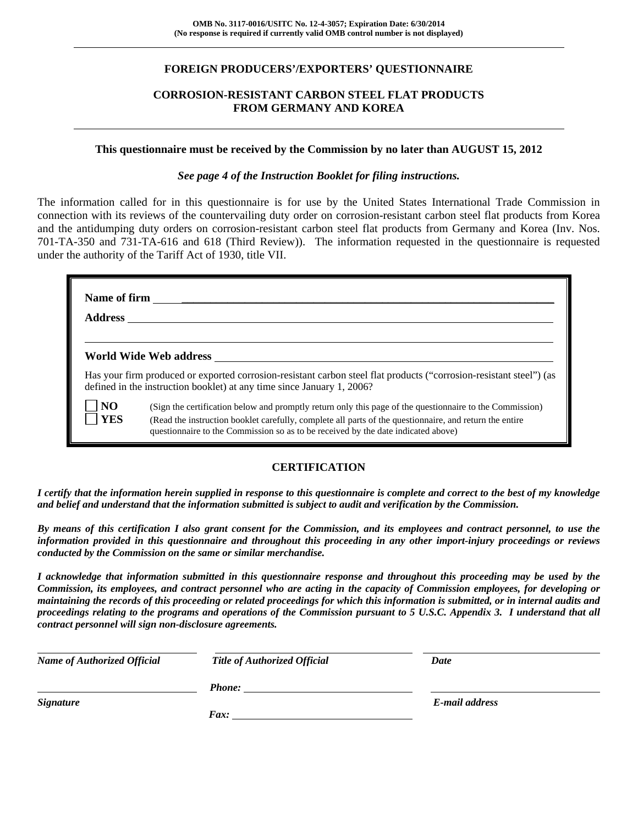## **FOREIGN PRODUCERS'/EXPORTERS' QUESTIONNAIRE**

## **CORROSION-RESISTANT CARBON STEEL FLAT PRODUCTS FROM GERMANY AND KOREA**

#### **This questionnaire must be received by the Commission by no later than AUGUST 15, 2012**

#### *See page 4 of the Instruction Booklet for filing instructions.*

The information called for in this questionnaire is for use by the United States International Trade Commission in connection with its reviews of the countervailing duty order on corrosion-resistant carbon steel flat products from Korea and the antidumping duty orders on corrosion-resistant carbon steel flat products from Germany and Korea (Inv. Nos. 701-TA-350 and 731-TA-616 and 618 (Third Review)). The information requested in the questionnaire is requested under the authority of the Tariff Act of 1930, title VII.

| <b>Address</b> | Name of firm                                                                                                                                                                                                                                                                                             |
|----------------|----------------------------------------------------------------------------------------------------------------------------------------------------------------------------------------------------------------------------------------------------------------------------------------------------------|
|                | World Wide Web address                                                                                                                                                                                                                                                                                   |
|                | Has your firm produced or exported corrosion-resistant carbon steel flat products ("corrosion-resistant steel") (as<br>defined in the instruction booklet) at any time since January 1, 2006?                                                                                                            |
| NO<br>  YES    | (Sign the certification below and promptly return only this page of the questionnaire to the Commission)<br>(Read the instruction booklet carefully, complete all parts of the questionnaire, and return the entire<br>questionnaire to the Commission so as to be received by the date indicated above) |

## **CERTIFICATION**

*I certify that the information herein supplied in response to this questionnaire is complete and correct to the best of my knowledge and belief and understand that the information submitted is subject to audit and verification by the Commission.* 

*By means of this certification I also grant consent for the Commission, and its employees and contract personnel, to use the information provided in this questionnaire and throughout this proceeding in any other import-injury proceedings or reviews conducted by the Commission on the same or similar merchandise.* 

*I acknowledge that information submitted in this questionnaire response and throughout this proceeding may be used by the Commission, its employees, and contract personnel who are acting in the capacity of Commission employees, for developing or maintaining the records of this proceeding or related proceedings for which this information is submitted, or in internal audits and proceedings relating to the programs and operations of the Commission pursuant to 5 U.S.C. Appendix 3. I understand that all contract personnel will sign non-disclosure agreements.* 

| <b>Name of Authorized Official</b> | <b>Title of Authorized Official</b> | Date           |
|------------------------------------|-------------------------------------|----------------|
|                                    | <b>Phone:</b>                       |                |
| <b>Signature</b>                   |                                     | E-mail address |
|                                    | Fax:                                |                |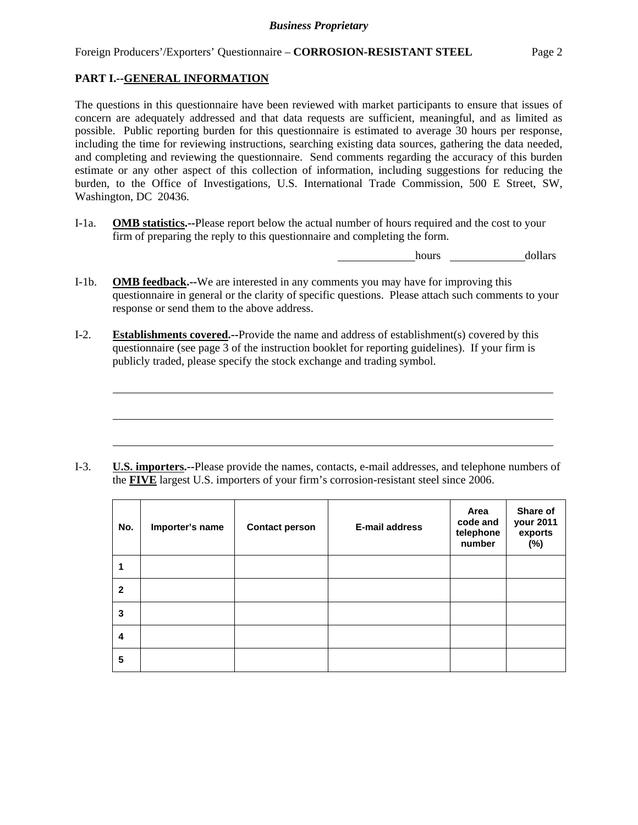# **PART I.--GENERAL INFORMATION**

l

The questions in this questionnaire have been reviewed with market participants to ensure that issues of concern are adequately addressed and that data requests are sufficient, meaningful, and as limited as possible. Public reporting burden for this questionnaire is estimated to average 30 hours per response, including the time for reviewing instructions, searching existing data sources, gathering the data needed, and completing and reviewing the questionnaire. Send comments regarding the accuracy of this burden estimate or any other aspect of this collection of information, including suggestions for reducing the burden, to the Office of Investigations, U.S. International Trade Commission, 500 E Street, SW, Washington, DC 20436.

I-1a. **OMB statistics.--**Please report below the actual number of hours required and the cost to your firm of preparing the reply to this questionnaire and completing the form.

hours dollars

- I-1b. **OMB feedback.--**We are interested in any comments you may have for improving this questionnaire in general or the clarity of specific questions. Please attach such comments to your response or send them to the above address.
- I-2. **Establishments covered.--**Provide the name and address of establishment(s) covered by this questionnaire (see page 3 of the instruction booklet for reporting guidelines). If your firm is publicly traded, please specify the stock exchange and trading symbol.

I-3. **U.S. importers.--**Please provide the names, contacts, e-mail addresses, and telephone numbers of the **FIVE** largest U.S. importers of your firm's corrosion-resistant steel since 2006.

| No.          | Importer's name | <b>Contact person</b> | <b>E-mail address</b> | Area<br>code and<br>telephone<br>number | Share of<br>your 2011<br>exports<br>$(\%)$ |
|--------------|-----------------|-----------------------|-----------------------|-----------------------------------------|--------------------------------------------|
| 1            |                 |                       |                       |                                         |                                            |
| $\mathbf{2}$ |                 |                       |                       |                                         |                                            |
| 3            |                 |                       |                       |                                         |                                            |
| 4            |                 |                       |                       |                                         |                                            |
| 5            |                 |                       |                       |                                         |                                            |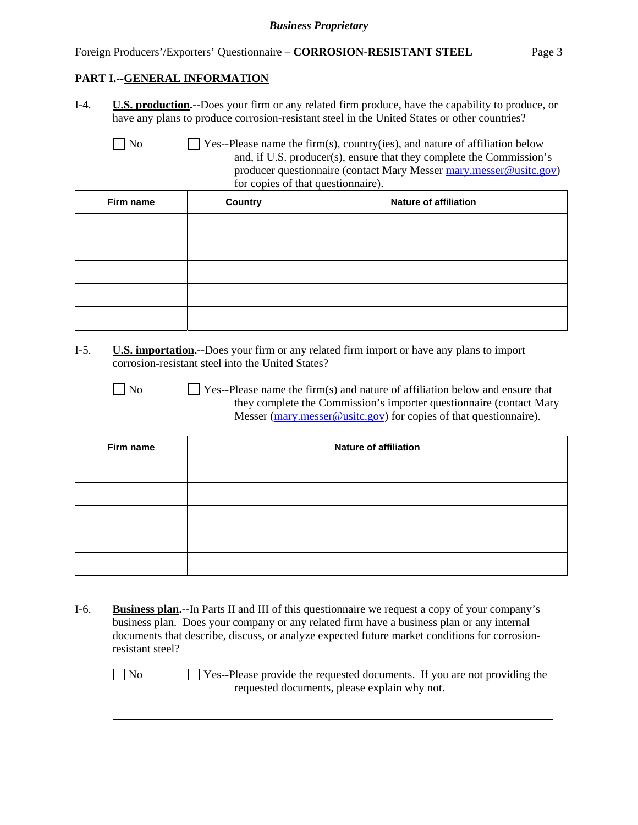Foreign Producers'/Exporters' Questionnaire – **CORROSION-RESISTANT STEEL** Page 3

## **PART I.--GENERAL INFORMATION**

- I-4. **U.S. production.--**Does your firm or any related firm produce, have the capability to produce, or have any plans to produce corrosion-resistant steel in the United States or other countries?
	-

 $\Box$  No  $\Box$  Yes--Please name the firm(s), country(ies), and nature of affiliation below and, if U.S. producer(s), ensure that they complete the Commission's producer questionnaire (contact Mary Messer mary.messer@usitc.gov) for copies of that questionnaire).

| Firm name | Country | <b>Nature of affiliation</b> |
|-----------|---------|------------------------------|
|           |         |                              |
|           |         |                              |
|           |         |                              |
|           |         |                              |
|           |         |                              |

- I-5. **U.S. importation.--**Does your firm or any related firm import or have any plans to import corrosion-resistant steel into the United States?
	-

l

 $\Box$  No  $\Box$  Yes--Please name the firm(s) and nature of affiliation below and ensure that they complete the Commission's importer questionnaire (contact Mary Messer (mary.messer@usitc.gov) for copies of that questionnaire).

| Firm name | <b>Nature of affiliation</b> |
|-----------|------------------------------|
|           |                              |
|           |                              |
|           |                              |
|           |                              |
|           |                              |

I-6. **Business plan.--**In Parts II and III of this questionnaire we request a copy of your company's business plan. Does your company or any related firm have a business plan or any internal documents that describe, discuss, or analyze expected future market conditions for corrosionresistant steel?

No Ses-Please provide the requested documents. If you are not providing the requested documents, please explain why not.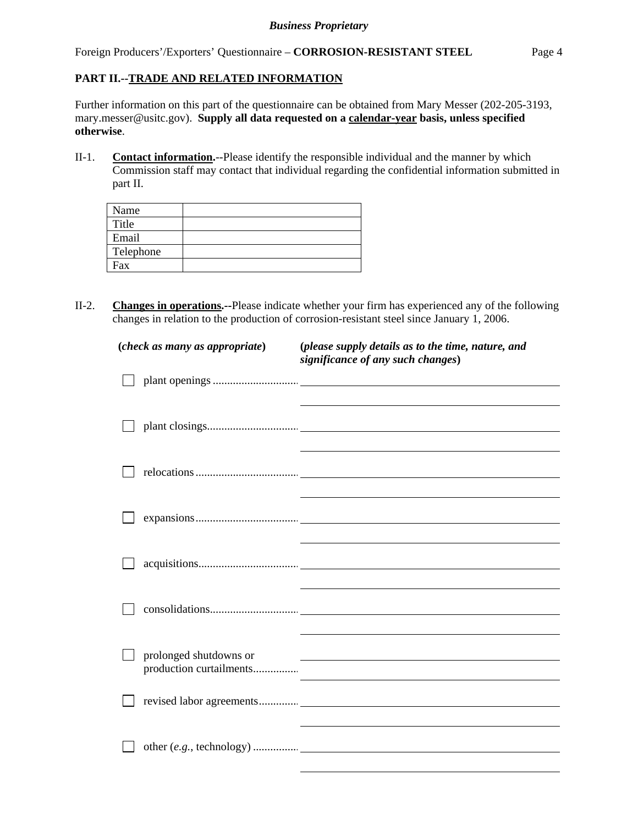Foreign Producers'/Exporters' Questionnaire – **CORROSION-RESISTANT STEEL** Page 4

## **PART II.--TRADE AND RELATED INFORMATION**

Further information on this part of the questionnaire can be obtained from Mary Messer (202-205-3193, mary.messer@usitc.gov). **Supply all data requested on a calendar-year basis, unless specified otherwise**.

II-1. **Contact information.**--Please identify the responsible individual and the manner by which Commission staff may contact that individual regarding the confidential information submitted in part II.

| Name      |  |
|-----------|--|
| Title     |  |
| Email     |  |
| Telephone |  |
| Fax       |  |
|           |  |

II-2. **Changes in operations.--**Please indicate whether your firm has experienced any of the following changes in relation to the production of corrosion-resistant steel since January 1, 2006.

| (check as many as appropriate) |                                                   | (please supply details as to the time, nature, and<br>significance of any such changes) |
|--------------------------------|---------------------------------------------------|-----------------------------------------------------------------------------------------|
|                                |                                                   |                                                                                         |
|                                |                                                   |                                                                                         |
|                                |                                                   |                                                                                         |
|                                |                                                   |                                                                                         |
|                                |                                                   |                                                                                         |
|                                |                                                   |                                                                                         |
|                                | prolonged shutdowns or<br>production curtailments | <u> 1980 - Johann Stoff, amerikansk politiker (d. 1980)</u>                             |
|                                |                                                   |                                                                                         |
|                                |                                                   |                                                                                         |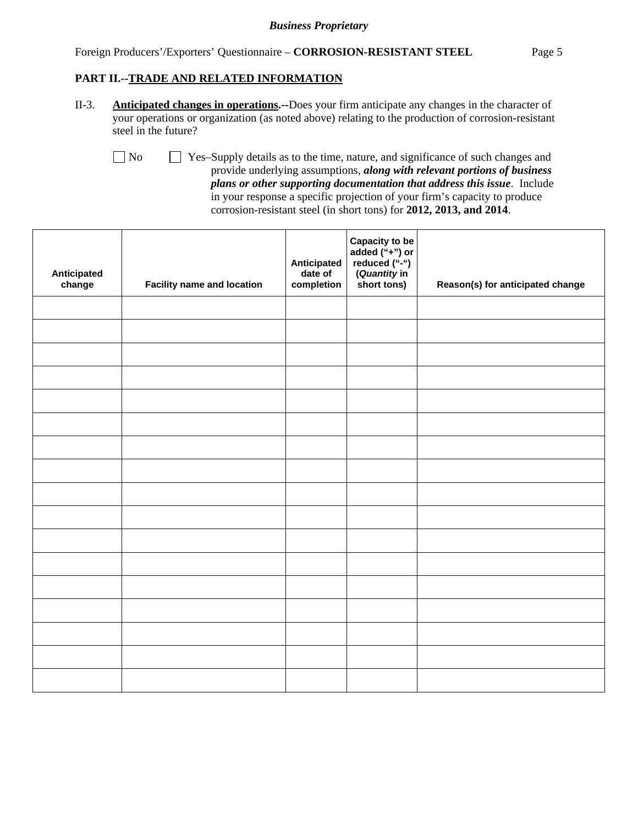#### Foreign Producers'/Exporters' Questionnaire – **CORROSION-RESISTANT STEEL** Page 5

### **PART II.--TRADE AND RELATED INFORMATION**

II-3. **Anticipated changes in operations.--**Does your firm anticipate any changes in the character of your operations or organization (as noted above) relating to the production of corrosion-resistant steel in the future?

 No Yes–Supply details as to the time, nature, and significance of such changes and provide underlying assumptions, *along with relevant portions of business plans or other supporting documentation that address this issue*. Include in your response a specific projection of your firm's capacity to produce corrosion-resistant steel (in short tons) for **2012, 2013, and 2014**.

| Anticipated<br>change | <b>Facility name and location</b> | Anticipated<br>date of<br>completion | Capacity to be<br>added ("+") or<br>reduced ("-")<br>(Quantity in<br>short tons) | Reason(s) for anticipated change |
|-----------------------|-----------------------------------|--------------------------------------|----------------------------------------------------------------------------------|----------------------------------|
|                       |                                   |                                      |                                                                                  |                                  |
|                       |                                   |                                      |                                                                                  |                                  |
|                       |                                   |                                      |                                                                                  |                                  |
|                       |                                   |                                      |                                                                                  |                                  |
|                       |                                   |                                      |                                                                                  |                                  |
|                       |                                   |                                      |                                                                                  |                                  |
|                       |                                   |                                      |                                                                                  |                                  |
|                       |                                   |                                      |                                                                                  |                                  |
|                       |                                   |                                      |                                                                                  |                                  |
|                       |                                   |                                      |                                                                                  |                                  |
|                       |                                   |                                      |                                                                                  |                                  |
|                       |                                   |                                      |                                                                                  |                                  |
|                       |                                   |                                      |                                                                                  |                                  |
|                       |                                   |                                      |                                                                                  |                                  |
|                       |                                   |                                      |                                                                                  |                                  |
|                       |                                   |                                      |                                                                                  |                                  |
|                       |                                   |                                      |                                                                                  |                                  |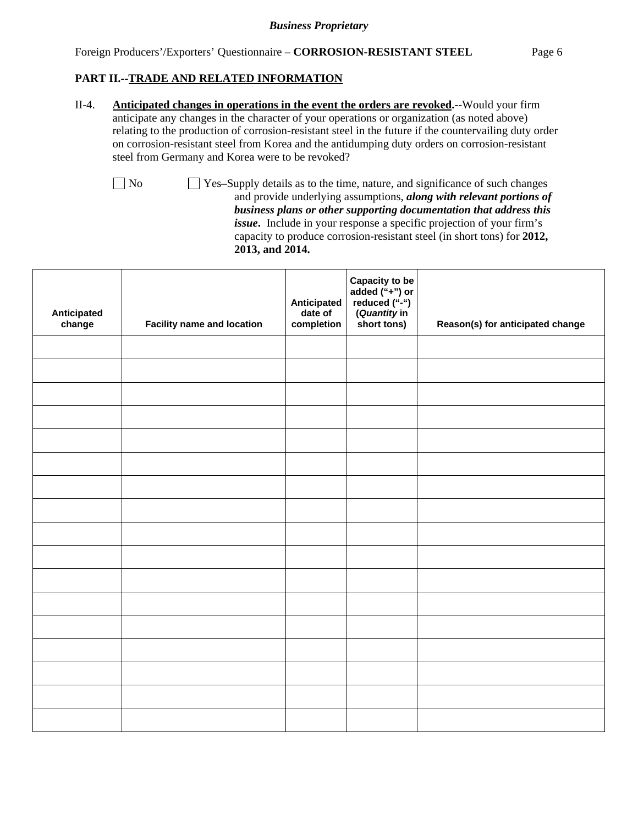II-4. **Anticipated changes in operations in the event the orders are revoked.--**Would your firm anticipate any changes in the character of your operations or organization (as noted above) relating to the production of corrosion-resistant steel in the future if the countervailing duty order on corrosion-resistant steel from Korea and the antidumping duty orders on corrosion-resistant steel from Germany and Korea were to be revoked?

No Yes–Supply details as to the time, nature, and significance of such changes and provide underlying assumptions, *along with relevant portions of business plans or other supporting documentation that address this issue***.** Include in your response a specific projection of your firm's capacity to produce corrosion-resistant steel (in short tons) for **2012, 2013, and 2014.**

| Anticipated<br>change | <b>Facility name and location</b> | Anticipated<br>date of<br>completion | Capacity to be<br>added ("+") or<br>reduced ("-")<br>(Quantity in<br>short tons) | Reason(s) for anticipated change |
|-----------------------|-----------------------------------|--------------------------------------|----------------------------------------------------------------------------------|----------------------------------|
|                       |                                   |                                      |                                                                                  |                                  |
|                       |                                   |                                      |                                                                                  |                                  |
|                       |                                   |                                      |                                                                                  |                                  |
|                       |                                   |                                      |                                                                                  |                                  |
|                       |                                   |                                      |                                                                                  |                                  |
|                       |                                   |                                      |                                                                                  |                                  |
|                       |                                   |                                      |                                                                                  |                                  |
|                       |                                   |                                      |                                                                                  |                                  |
|                       |                                   |                                      |                                                                                  |                                  |
|                       |                                   |                                      |                                                                                  |                                  |
|                       |                                   |                                      |                                                                                  |                                  |
|                       |                                   |                                      |                                                                                  |                                  |
|                       |                                   |                                      |                                                                                  |                                  |
|                       |                                   |                                      |                                                                                  |                                  |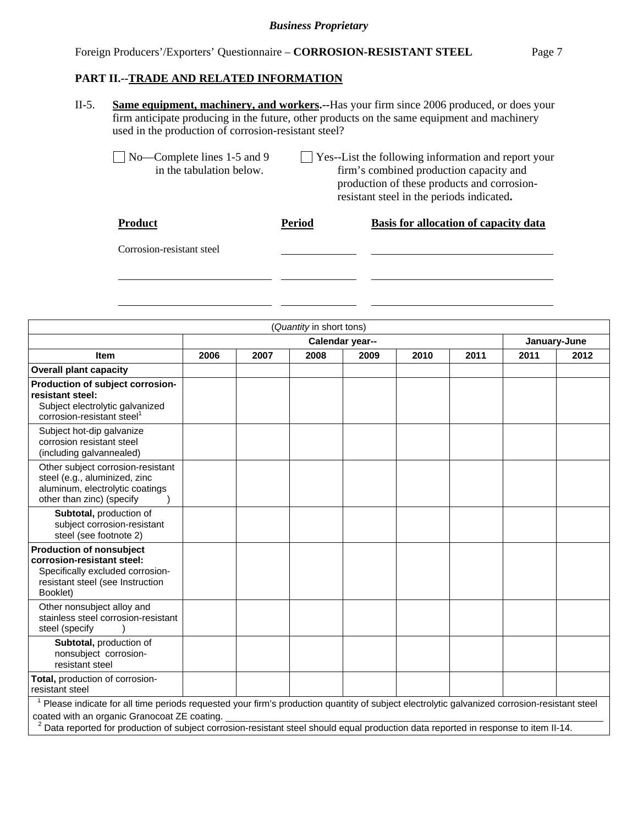#### Foreign Producers'/Exporters' Questionnaire – **CORROSION-RESISTANT STEEL** Page 7

### **PART II.--TRADE AND RELATED INFORMATION**

- II-5. **Same equipment, machinery, and workers.--**Has your firm since 2006 produced, or does your firm anticipate producing in the future, other products on the same equipment and machinery used in the production of corrosion-resistant steel?
	- $\Box$  No—Complete lines 1-5 and 9  $\Box$  Yes--List the following information and report your in the tabulation below. firm's combined production capacity and firm's combined production capacity and production of these products and corrosion resistant steel in the periods indicated**.**

| <b>Product</b>            | <b>Period</b> | Basis for allocation of capacity data |
|---------------------------|---------------|---------------------------------------|
| Corrosion-resistant steel |               |                                       |
|                           |               |                                       |
|                           |               |                                       |

| (Quantity in short tons)                                                                                                                                                                                                                                                                                                          |                 |      |      |      |      |      |              |      |
|-----------------------------------------------------------------------------------------------------------------------------------------------------------------------------------------------------------------------------------------------------------------------------------------------------------------------------------|-----------------|------|------|------|------|------|--------------|------|
|                                                                                                                                                                                                                                                                                                                                   | Calendar year-- |      |      |      |      |      | January-June |      |
| <b>Item</b>                                                                                                                                                                                                                                                                                                                       | 2006            | 2007 | 2008 | 2009 | 2010 | 2011 | 2011         | 2012 |
| <b>Overall plant capacity</b>                                                                                                                                                                                                                                                                                                     |                 |      |      |      |      |      |              |      |
| Production of subject corrosion-<br>resistant steel:<br>Subject electrolytic galvanized<br>corrosion-resistant steel <sup>1</sup>                                                                                                                                                                                                 |                 |      |      |      |      |      |              |      |
| Subject hot-dip galvanize<br>corrosion resistant steel<br>(including galvannealed)                                                                                                                                                                                                                                                |                 |      |      |      |      |      |              |      |
| Other subject corrosion-resistant<br>steel (e.g., aluminized, zinc<br>aluminum, electrolytic coatings<br>other than zinc) (specify                                                                                                                                                                                                |                 |      |      |      |      |      |              |      |
| Subtotal, production of<br>subject corrosion-resistant<br>steel (see footnote 2)                                                                                                                                                                                                                                                  |                 |      |      |      |      |      |              |      |
| <b>Production of nonsubject</b><br>corrosion-resistant steel:<br>Specifically excluded corrosion-<br>resistant steel (see Instruction<br>Booklet)                                                                                                                                                                                 |                 |      |      |      |      |      |              |      |
| Other nonsubject alloy and<br>stainless steel corrosion-resistant<br>steel (specify                                                                                                                                                                                                                                               |                 |      |      |      |      |      |              |      |
| Subtotal, production of<br>nonsubject corrosion-<br>resistant steel                                                                                                                                                                                                                                                               |                 |      |      |      |      |      |              |      |
| Total, production of corrosion-<br>resistant steel                                                                                                                                                                                                                                                                                |                 |      |      |      |      |      |              |      |
| Please indicate for all time periods requested your firm's production quantity of subject electrolytic galvanized corrosion-resistant steel<br>coated with an organic Granocoat ZE coating.<br>Data reported for production of subject corrosion-resistant steel should equal production data reported in response to item II-14. |                 |      |      |      |      |      |              |      |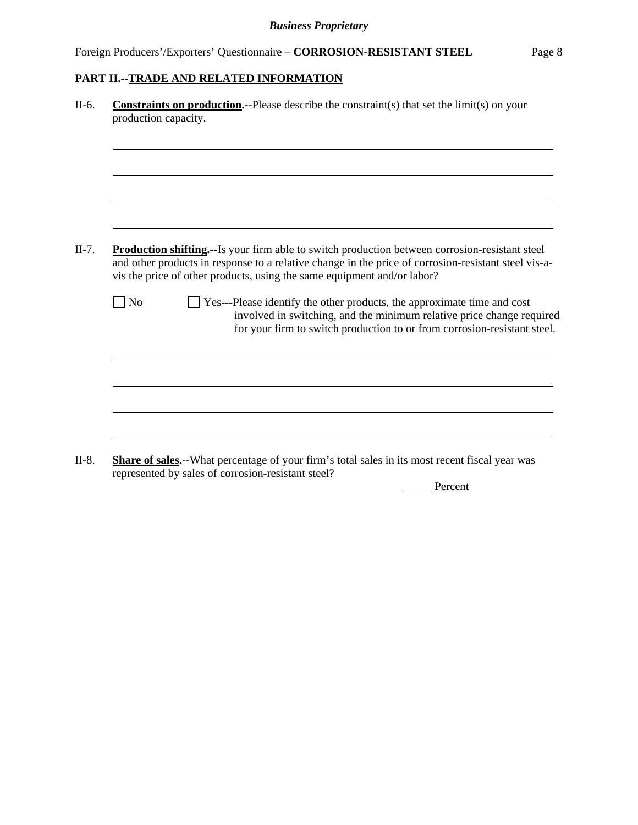| II-6.   | <b>Constraints on production.</b> --Please describe the constraint(s) that set the limit(s) on your<br>production capacity.                                                                                                                                                               |
|---------|-------------------------------------------------------------------------------------------------------------------------------------------------------------------------------------------------------------------------------------------------------------------------------------------|
|         |                                                                                                                                                                                                                                                                                           |
|         |                                                                                                                                                                                                                                                                                           |
| $II-7.$ | <b>Production shifting.</b> --Is your firm able to switch production between corrosion-resistant steel<br>and other products in response to a relative change in the price of corrosion-resistant steel vis-a-<br>vis the price of other products, using the same equipment and/or labor? |
|         | N <sub>0</sub><br>Yes---Please identify the other products, the approximate time and cost<br>involved in switching, and the minimum relative price change required<br>for your firm to switch production to or from corrosion-resistant steel.                                            |
|         |                                                                                                                                                                                                                                                                                           |
|         |                                                                                                                                                                                                                                                                                           |
|         | <b>Share of sales.</b> --What percentage of your firm's total sales in its most recent fiscal year was<br>represented by sales of corrosion-resistant steel?                                                                                                                              |

**Percent**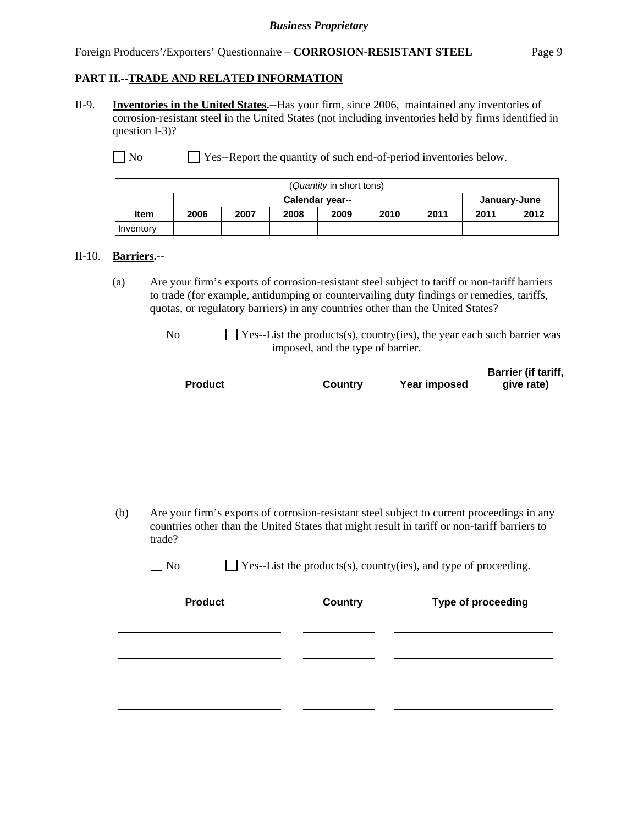#### Foreign Producers'/Exporters' Questionnaire – **CORROSION-RESISTANT STEEL** Page 9

## **PART II.--TRADE AND RELATED INFORMATION**

II-9. **Inventories in the United States.--**Has your firm, since 2006, maintained any inventories of corrosion-resistant steel in the United States (not including inventories held by firms identified in question I-3)?

No Ses-Report the quantity of such end-of-period inventories below.

| (Quantity in short tons) |                                 |                                      |  |  |  |  |  |      |
|--------------------------|---------------------------------|--------------------------------------|--|--|--|--|--|------|
|                          | Calendar year--<br>January-June |                                      |  |  |  |  |  |      |
| <b>Item</b>              | 2006                            | 2011<br>2010<br>2009<br>2007<br>2008 |  |  |  |  |  | 2012 |
| Inventory                |                                 |                                      |  |  |  |  |  |      |

#### II-10. **Barriers.--**

- (a) Are your firm's exports of corrosion-resistant steel subject to tariff or non-tariff barriers to trade (for example, antidumping or countervailing duty findings or remedies, tariffs, quotas, or regulatory barriers) in any countries other than the United States?
	- $\Box$  No  $\Box$  Yes--List the products(s), country(ies), the year each such barrier was imposed, and the type of barrier.

| <b>Product</b> | <b>Country</b> | Year imposed | Barrier (if tariff,<br>give rate) |
|----------------|----------------|--------------|-----------------------------------|
|                |                |              |                                   |
|                |                |              |                                   |
|                |                |              |                                   |

 (b) Are your firm's exports of corrosion-resistant steel subject to current proceedings in any countries other than the United States that might result in tariff or non-tariff barriers to trade?

| <b>Product</b> | <b>Country</b> | Type of proceeding |
|----------------|----------------|--------------------|
|                |                |                    |
|                |                |                    |
|                |                |                    |
|                |                |                    |
|                |                |                    |

 $\Box$  No  $\Box$  Yes--List the products(s), country(ies), and type of proceeding.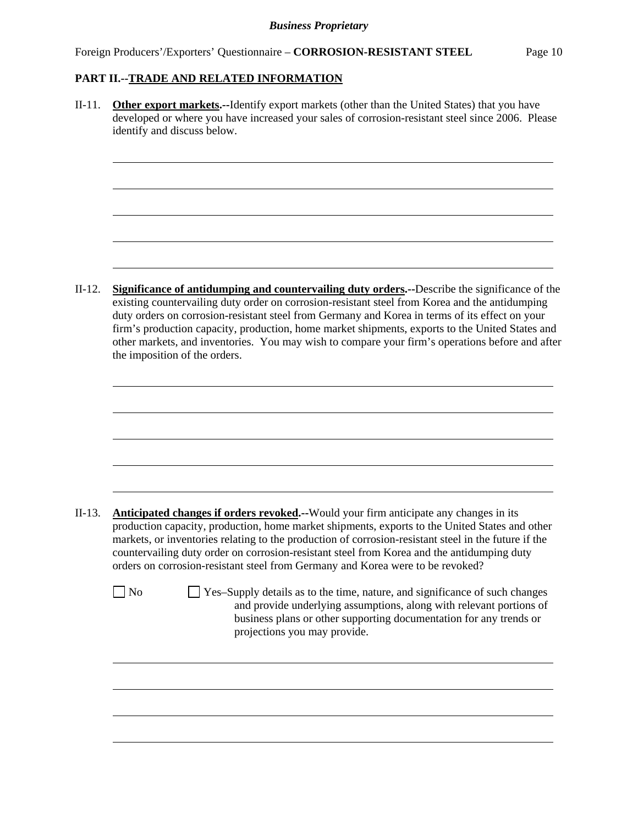l

l

II-11. **Other export markets.--**Identify export markets (other than the United States) that you have developed or where you have increased your sales of corrosion-resistant steel since 2006. Please identify and discuss below.

II-12. **Significance of antidumping and countervailing duty orders.--**Describe the significance of the existing countervailing duty order on corrosion-resistant steel from Korea and the antidumping duty orders on corrosion-resistant steel from Germany and Korea in terms of its effect on your firm's production capacity, production, home market shipments, exports to the United States and other markets, and inventories. You may wish to compare your firm's operations before and after the imposition of the orders.

| $II-13.$ | <b>Anticipated changes if orders revoked.</b> --Would your firm anticipate any changes in its<br>production capacity, production, home market shipments, exports to the United States and other<br>markets, or inventories relating to the production of corrosion-resistant steel in the future if the<br>countervailing duty order on corrosion-resistant steel from Korea and the antidumping duty<br>orders on corrosion-resistant steel from Germany and Korea were to be revoked? |
|----------|-----------------------------------------------------------------------------------------------------------------------------------------------------------------------------------------------------------------------------------------------------------------------------------------------------------------------------------------------------------------------------------------------------------------------------------------------------------------------------------------|
|          | Yes-Supply details as to the time, nature, and significance of such changes<br>N <sub>0</sub><br>and provide underlying assumptions, along with relevant portions of<br>business plans or other supporting documentation for any trends or<br>projections you may provide.                                                                                                                                                                                                              |
|          |                                                                                                                                                                                                                                                                                                                                                                                                                                                                                         |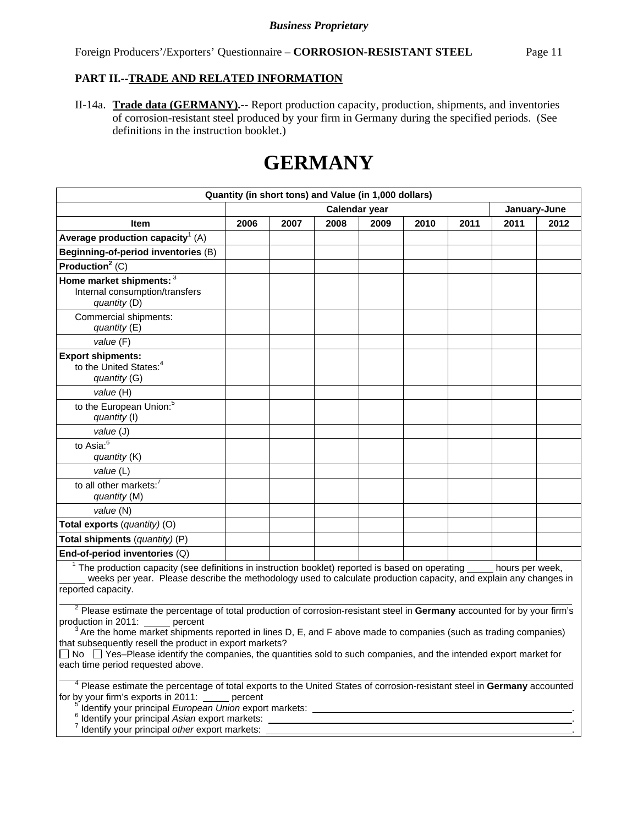II-14a. **Trade data (GERMANY).--** Report production capacity, production, shipments, and inventories of corrosion-resistant steel produced by your firm in Germany during the specified periods. (See definitions in the instruction booklet.)

# **GERMANY**

| Quantity (in short tons) and Value (in 1,000 dollars)                                                                                                                                                                                                                                                                                                                                                                                                                                                             |                                                                                                                                                                                          |      |               |      |      |      |                 |      |
|-------------------------------------------------------------------------------------------------------------------------------------------------------------------------------------------------------------------------------------------------------------------------------------------------------------------------------------------------------------------------------------------------------------------------------------------------------------------------------------------------------------------|------------------------------------------------------------------------------------------------------------------------------------------------------------------------------------------|------|---------------|------|------|------|-----------------|------|
|                                                                                                                                                                                                                                                                                                                                                                                                                                                                                                                   |                                                                                                                                                                                          |      | Calendar year |      |      |      | January-June    |      |
| Item                                                                                                                                                                                                                                                                                                                                                                                                                                                                                                              | 2006                                                                                                                                                                                     | 2007 | 2008          | 2009 | 2010 | 2011 | 2011            | 2012 |
| Average production capacity <sup>1</sup> (A)                                                                                                                                                                                                                                                                                                                                                                                                                                                                      |                                                                                                                                                                                          |      |               |      |      |      |                 |      |
| Beginning-of-period inventories (B)                                                                                                                                                                                                                                                                                                                                                                                                                                                                               |                                                                                                                                                                                          |      |               |      |      |      |                 |      |
| Production <sup>2</sup> (C)                                                                                                                                                                                                                                                                                                                                                                                                                                                                                       |                                                                                                                                                                                          |      |               |      |      |      |                 |      |
| Home market shipments: 3<br>Internal consumption/transfers<br>quantity (D)<br>Commercial shipments:                                                                                                                                                                                                                                                                                                                                                                                                               |                                                                                                                                                                                          |      |               |      |      |      |                 |      |
| quantity (E)                                                                                                                                                                                                                                                                                                                                                                                                                                                                                                      |                                                                                                                                                                                          |      |               |      |      |      |                 |      |
| value (F)                                                                                                                                                                                                                                                                                                                                                                                                                                                                                                         |                                                                                                                                                                                          |      |               |      |      |      |                 |      |
| <b>Export shipments:</b><br>to the United States: <sup>4</sup><br>quantity (G)                                                                                                                                                                                                                                                                                                                                                                                                                                    |                                                                                                                                                                                          |      |               |      |      |      |                 |      |
| value (H)                                                                                                                                                                                                                                                                                                                                                                                                                                                                                                         |                                                                                                                                                                                          |      |               |      |      |      |                 |      |
| to the European Union: <sup>5</sup><br>quantity (I)                                                                                                                                                                                                                                                                                                                                                                                                                                                               |                                                                                                                                                                                          |      |               |      |      |      |                 |      |
| value (J)                                                                                                                                                                                                                                                                                                                                                                                                                                                                                                         |                                                                                                                                                                                          |      |               |      |      |      |                 |      |
| to Asia: $\overline{6}$<br>quantity (K)                                                                                                                                                                                                                                                                                                                                                                                                                                                                           |                                                                                                                                                                                          |      |               |      |      |      |                 |      |
| value (L)                                                                                                                                                                                                                                                                                                                                                                                                                                                                                                         |                                                                                                                                                                                          |      |               |      |      |      |                 |      |
| to all other markets: <sup>7</sup><br>quantity (M)                                                                                                                                                                                                                                                                                                                                                                                                                                                                |                                                                                                                                                                                          |      |               |      |      |      |                 |      |
| value (N)                                                                                                                                                                                                                                                                                                                                                                                                                                                                                                         |                                                                                                                                                                                          |      |               |      |      |      |                 |      |
| Total exports (quantity) (O)                                                                                                                                                                                                                                                                                                                                                                                                                                                                                      |                                                                                                                                                                                          |      |               |      |      |      |                 |      |
| Total shipments (quantity) (P)                                                                                                                                                                                                                                                                                                                                                                                                                                                                                    |                                                                                                                                                                                          |      |               |      |      |      |                 |      |
| End-of-period inventories (Q)                                                                                                                                                                                                                                                                                                                                                                                                                                                                                     |                                                                                                                                                                                          |      |               |      |      |      |                 |      |
| <sup>1</sup> The production capacity (see definitions in instruction booklet) reported is based on operating<br>weeks per year. Please describe the methodology used to calculate production capacity, and explain any changes in<br>reported capacity.                                                                                                                                                                                                                                                           |                                                                                                                                                                                          |      |               |      |      |      | hours per week, |      |
| <sup>2</sup> Please estimate the percentage of total production of corrosion-resistant steel in Germany accounted for by your firm's<br>production in 2011: percent<br>$3$ Are the home market shipments reported in lines D, E, and F above made to companies (such as trading companies)<br>that subsequently resell the product in export markets?<br>□ No □ Yes-Please identify the companies, the quantities sold to such companies, and the intended export market for<br>each time period requested above. |                                                                                                                                                                                          |      |               |      |      |      |                 |      |
| <sup>7</sup> Identify your principal other export markets:                                                                                                                                                                                                                                                                                                                                                                                                                                                        | <sup>4</sup> Please estimate the percentage of total exports to the United States of corrosion-resistant steel in Germany accounted<br>for by your firm's exports in 2011: _____ percent |      |               |      |      |      |                 |      |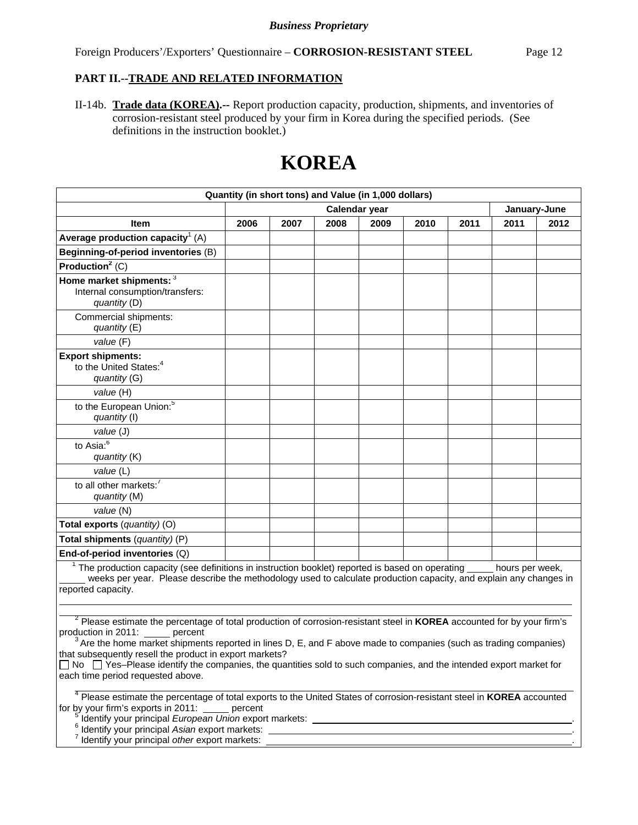II-14b. **Trade data (KOREA).--** Report production capacity, production, shipments, and inventories of corrosion-resistant steel produced by your firm in Korea during the specified periods. (See definitions in the instruction booklet.)

# **KOREA**

| Quantity (in short tons) and Value (in 1,000 dollars)                                                                                                                                                                                                                                                                                                                                                                                                                                                                            |      |      |      |               |      |      |      |              |
|----------------------------------------------------------------------------------------------------------------------------------------------------------------------------------------------------------------------------------------------------------------------------------------------------------------------------------------------------------------------------------------------------------------------------------------------------------------------------------------------------------------------------------|------|------|------|---------------|------|------|------|--------------|
|                                                                                                                                                                                                                                                                                                                                                                                                                                                                                                                                  |      |      |      | Calendar year |      |      |      | January-June |
| <b>Item</b>                                                                                                                                                                                                                                                                                                                                                                                                                                                                                                                      | 2006 | 2007 | 2008 | 2009          | 2010 | 2011 | 2011 | 2012         |
| Average production capacity <sup>1</sup> (A)                                                                                                                                                                                                                                                                                                                                                                                                                                                                                     |      |      |      |               |      |      |      |              |
| Beginning-of-period inventories (B)                                                                                                                                                                                                                                                                                                                                                                                                                                                                                              |      |      |      |               |      |      |      |              |
| Production <sup>2</sup> $(C)$                                                                                                                                                                                                                                                                                                                                                                                                                                                                                                    |      |      |      |               |      |      |      |              |
| Home market shipments: 3<br>Internal consumption/transfers:<br>quantity (D)                                                                                                                                                                                                                                                                                                                                                                                                                                                      |      |      |      |               |      |      |      |              |
| Commercial shipments:<br>quantity (E)                                                                                                                                                                                                                                                                                                                                                                                                                                                                                            |      |      |      |               |      |      |      |              |
| value(F)                                                                                                                                                                                                                                                                                                                                                                                                                                                                                                                         |      |      |      |               |      |      |      |              |
| <b>Export shipments:</b><br>to the United States: <sup>4</sup><br>quantity (G)                                                                                                                                                                                                                                                                                                                                                                                                                                                   |      |      |      |               |      |      |      |              |
| value (H)                                                                                                                                                                                                                                                                                                                                                                                                                                                                                                                        |      |      |      |               |      |      |      |              |
| to the European Union: <sup>5</sup><br>quantity (I)                                                                                                                                                                                                                                                                                                                                                                                                                                                                              |      |      |      |               |      |      |      |              |
| value (J)                                                                                                                                                                                                                                                                                                                                                                                                                                                                                                                        |      |      |      |               |      |      |      |              |
| to Asia: $6$<br>quantity (K)                                                                                                                                                                                                                                                                                                                                                                                                                                                                                                     |      |      |      |               |      |      |      |              |
| value (L)                                                                                                                                                                                                                                                                                                                                                                                                                                                                                                                        |      |      |      |               |      |      |      |              |
| to all other markets: <sup>7</sup><br>quantity (M)                                                                                                                                                                                                                                                                                                                                                                                                                                                                               |      |      |      |               |      |      |      |              |
| value (N)                                                                                                                                                                                                                                                                                                                                                                                                                                                                                                                        |      |      |      |               |      |      |      |              |
| Total exports (quantity) (O)                                                                                                                                                                                                                                                                                                                                                                                                                                                                                                     |      |      |      |               |      |      |      |              |
| Total shipments (quantity) (P)                                                                                                                                                                                                                                                                                                                                                                                                                                                                                                   |      |      |      |               |      |      |      |              |
| End-of-period inventories (Q)                                                                                                                                                                                                                                                                                                                                                                                                                                                                                                    |      |      |      |               |      |      |      |              |
| $1$ The production capacity (see definitions in instruction booklet) reported is based on operating $\_\_$ hours per week,<br>weeks per year. Please describe the methodology used to calculate production capacity, and explain any changes in<br>reported capacity.                                                                                                                                                                                                                                                            |      |      |      |               |      |      |      |              |
|                                                                                                                                                                                                                                                                                                                                                                                                                                                                                                                                  |      |      |      |               |      |      |      |              |
| <sup>2</sup> Please estimate the percentage of total production of corrosion-resistant steel in <b>KOREA</b> accounted for by your firm's<br>production in 2011: percent<br>$3$ Are the home market shipments reported in lines D, E, and F above made to companies (such as trading companies)<br>that subsequently resell the product in export markets?<br>$\Box$ No $\Box$ Yes-Please identify the companies, the quantities sold to such companies, and the intended export market for<br>each time period requested above. |      |      |      |               |      |      |      |              |
| <sup>4</sup> Please estimate the percentage of total exports to the United States of corrosion-resistant steel in KOREA accounted<br>for by your firm's exports in 2011: ______ percent                                                                                                                                                                                                                                                                                                                                          |      |      |      |               |      |      |      |              |

- $5$  Identify your principal European Union export markets:  $\frac{1}{2}$  Interaction 2011: percent 2011: percent 2011: percent 3011: percent 2011: percent 2011: percent 2011: percent 2011: percent 2011: percent 2011: percent Identify your principal *European Union* export markets: . 6
- Identify your principal *Asian* export markets: . 7
- Identify your principal *other* export markets: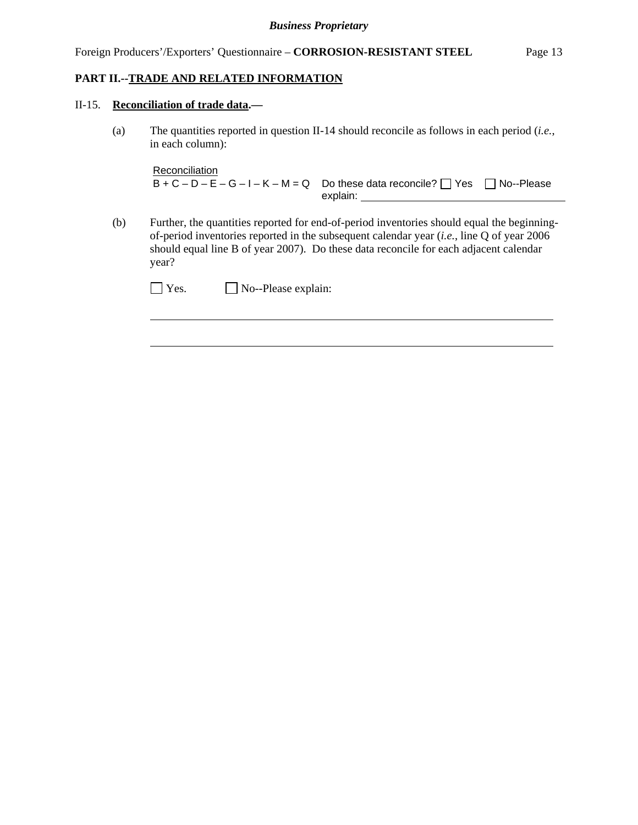#### II-15. **Reconciliation of trade data.—**

 $\overline{a}$ 

(a) The quantities reported in question II-14 should reconcile as follows in each period (*i.e.*, in each column):

```
Reconciliation
B + C - D - E - G - I - K - M = Q Do these data reconcile? \Box Yes \Box No--Please
                                  explain:
```
(b) Further, the quantities reported for end-of-period inventories should equal the beginningof-period inventories reported in the subsequent calendar year (*i.e.*, line Q of year 2006 should equal line B of year 2007). Do these data reconcile for each adjacent calendar year?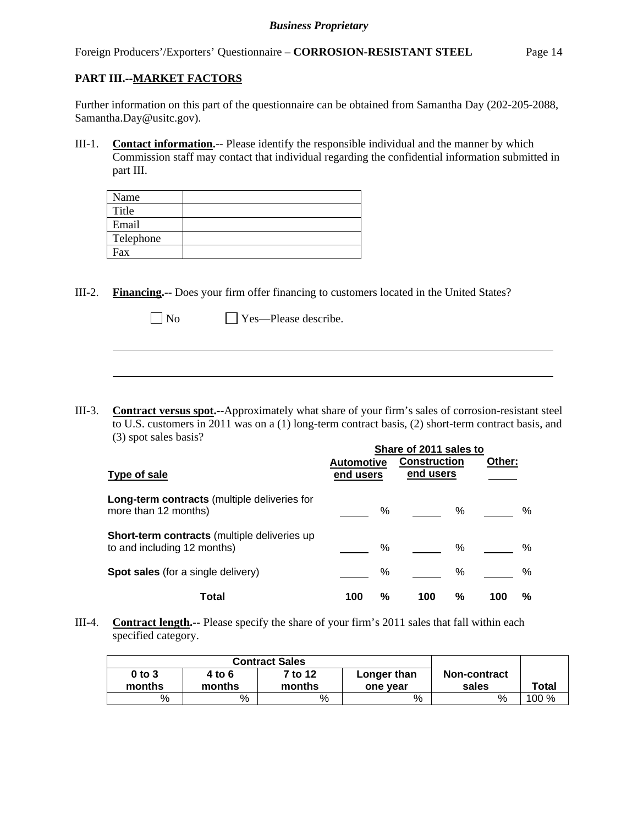Foreign Producers'/Exporters' Questionnaire – **CORROSION-RESISTANT STEEL** Page 14

# **PART III.--MARKET FACTORS**

 $\overline{a}$ 

Further information on this part of the questionnaire can be obtained from Samantha Day (202-205-2088, Samantha.Day@usitc.gov).

III-1. **Contact information.**-- Please identify the responsible individual and the manner by which Commission staff may contact that individual regarding the confidential information submitted in part III.

| Name      |  |
|-----------|--|
| Title     |  |
| Email     |  |
| Telephone |  |
| Fax       |  |

III-2. **Financing.**-- Does your firm offer financing to customers located in the United States?

| $\Box$ No |  | $\Box$ Yes—Please describe. |
|-----------|--|-----------------------------|
|           |  |                             |

III-3. **Contract versus spot.--**Approximately what share of your firm's sales of corrosion-resistant steel to U.S. customers in 2011 was on a (1) long-term contract basis, (2) short-term contract basis, and (3) spot sales basis?

|                                                                             | Share of 2011 sales to         |                                  |          |
|-----------------------------------------------------------------------------|--------------------------------|----------------------------------|----------|
| <b>Type of sale</b>                                                         | <b>Automotive</b><br>end users | <b>Construction</b><br>end users | Other:   |
| Long-term contracts (multiple deliveries for<br>more than 12 months)        | %                              | %                                | %        |
| Short-term contracts (multiple deliveries up<br>to and including 12 months) | %                              | %                                | $\%$     |
| <b>Spot sales</b> (for a single delivery)                                   | %                              | %                                | $\%$     |
| Total                                                                       | %<br>100                       | %<br>100                         | %<br>100 |

III-4. **Contract length.**-- Please specify the share of your firm's 2011 sales that fall within each specified category.

|                      | <b>Contract Sales</b> |                   |                         |                              |              |
|----------------------|-----------------------|-------------------|-------------------------|------------------------------|--------------|
| $0$ to $3$<br>months | 4 to 6<br>months      | 7 to 12<br>months | Longer than<br>one vear | <b>Non-contract</b><br>sales | <b>Total</b> |
| %                    | %                     | %                 | %                       | %                            | $100 \%$     |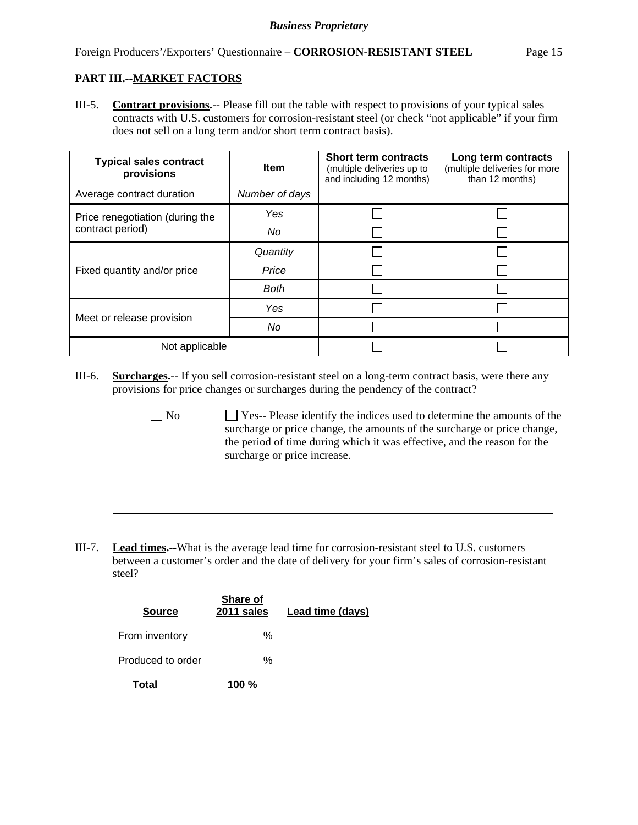$\overline{a}$ 

III-5. **Contract provisions.**-- Please fill out the table with respect to provisions of your typical sales contracts with U.S. customers for corrosion-resistant steel (or check "not applicable" if your firm does not sell on a long term and/or short term contract basis).

| <b>Typical sales contract</b><br>provisions | <b>Item</b>    | <b>Short term contracts</b><br>(multiple deliveries up to<br>and including 12 months) | Long term contracts<br>(multiple deliveries for more<br>than 12 months) |
|---------------------------------------------|----------------|---------------------------------------------------------------------------------------|-------------------------------------------------------------------------|
| Average contract duration                   | Number of days |                                                                                       |                                                                         |
| Price renegotiation (during the             | Yes.           |                                                                                       |                                                                         |
| contract period)                            | No             |                                                                                       |                                                                         |
|                                             | Quantity       |                                                                                       |                                                                         |
| Fixed quantity and/or price                 | Price          |                                                                                       |                                                                         |
|                                             | <b>Both</b>    |                                                                                       |                                                                         |
|                                             | Yes            |                                                                                       |                                                                         |
| Meet or release provision                   | No             |                                                                                       |                                                                         |
| Not applicable                              |                |                                                                                       |                                                                         |

- III-6. **Surcharges.**-- If you sell corrosion-resistant steel on a long-term contract basis, were there any provisions for price changes or surcharges during the pendency of the contract?
	- No Ses-- Please identify the indices used to determine the amounts of the surcharge or price change, the amounts of the surcharge or price change, the period of time during which it was effective, and the reason for the surcharge or price increase.
- III-7. **Lead times.--**What is the average lead time for corrosion-resistant steel to U.S. customers between a customer's order and the date of delivery for your firm's sales of corrosion-resistant steel?

| <b>Source</b>     | <b>Share of</b><br>2011 sales | Lead time (days) |
|-------------------|-------------------------------|------------------|
| From inventory    | ℅                             |                  |
| Produced to order | ℅                             |                  |
| Total             | 100 $\%$                      |                  |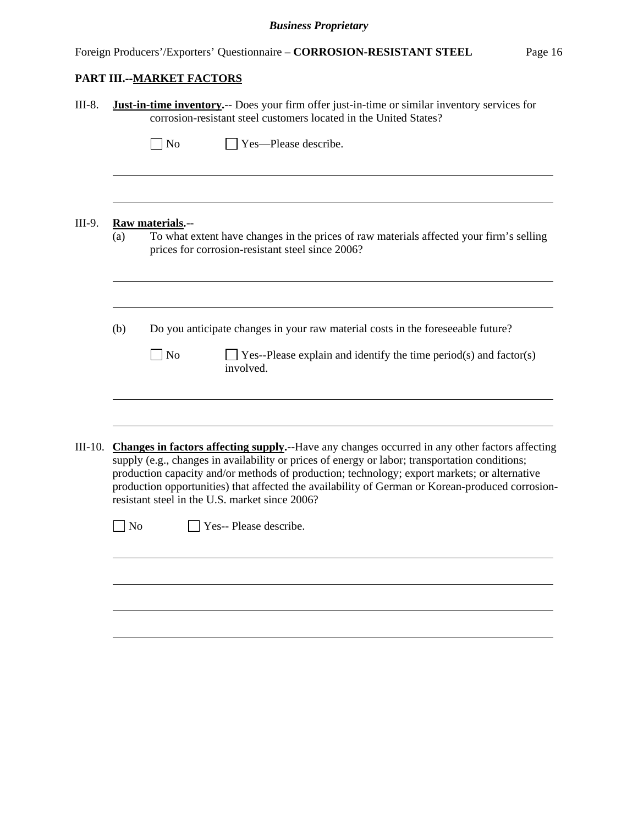| III-8.    |                | <b>Just-in-time inventory.</b> -- Does your firm offer just-in-time or similar inventory services for<br>corrosion-resistant steel customers located in the United States?                                                                                                                                                                                                                                                                             |
|-----------|----------------|--------------------------------------------------------------------------------------------------------------------------------------------------------------------------------------------------------------------------------------------------------------------------------------------------------------------------------------------------------------------------------------------------------------------------------------------------------|
|           |                | $\log$<br>Yes—Please describe.                                                                                                                                                                                                                                                                                                                                                                                                                         |
| III-9.    | (a)            | Raw materials.--<br>To what extent have changes in the prices of raw materials affected your firm's selling<br>prices for corrosion-resistant steel since 2006?                                                                                                                                                                                                                                                                                        |
|           | (b)            | Do you anticipate changes in your raw material costs in the foreseeable future?<br>No<br>Yes--Please explain and identify the time period(s) and factor(s)<br>involved.                                                                                                                                                                                                                                                                                |
| $III-10.$ |                | Changes in factors affecting supply.--Have any changes occurred in any other factors affecting<br>supply (e.g., changes in availability or prices of energy or labor; transportation conditions;<br>production capacity and/or methods of production; technology; export markets; or alternative<br>production opportunities) that affected the availability of German or Korean-produced corrosion-<br>resistant steel in the U.S. market since 2006? |
|           | $\bigsqcup$ No | Yes-- Please describe.                                                                                                                                                                                                                                                                                                                                                                                                                                 |
|           |                |                                                                                                                                                                                                                                                                                                                                                                                                                                                        |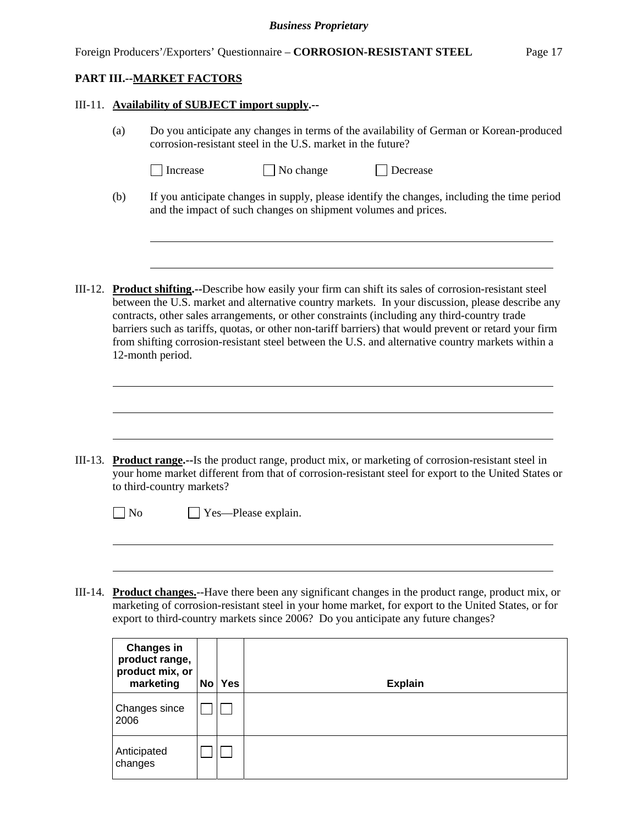#### Foreign Producers'/Exporters' Questionnaire – **CORROSION-RESISTANT STEEL** Page 17

#### **PART III.--MARKET FACTORS**

l

l

 $\overline{a}$ 

#### III-11. **Availability of SUBJECT import supply.--**

(a) Do you anticipate any changes in terms of the availability of German or Korean-produced corrosion-resistant steel in the U.S. market in the future?

|  | I Increase | No change |
|--|------------|-----------|
|--|------------|-----------|

- $\Box$  Decrease
- (b) If you anticipate changes in supply, please identify the changes, including the time period and the impact of such changes on shipment volumes and prices.
- III-12. **Product shifting.--**Describe how easily your firm can shift its sales of corrosion-resistant steel between the U.S. market and alternative country markets. In your discussion, please describe any contracts, other sales arrangements, or other constraints (including any third-country trade barriers such as tariffs, quotas, or other non-tariff barriers) that would prevent or retard your firm from shifting corrosion-resistant steel between the U.S. and alternative country markets within a 12-month period.

III-13. **Product range.--**Is the product range, product mix, or marketing of corrosion-resistant steel in your home market different from that of corrosion-resistant steel for export to the United States or to third-country markets?

No Yes—Please explain.

III-14. **Product changes.**--Have there been any significant changes in the product range, product mix, or marketing of corrosion-resistant steel in your home market, for export to the United States, or for export to third-country markets since 2006? Do you anticipate any future changes?

| <b>Changes in</b><br>product range,<br>product mix, or<br>marketing | <b>No</b> | <b>Yes</b> | <b>Explain</b> |
|---------------------------------------------------------------------|-----------|------------|----------------|
| <b>Changes since</b><br>2006                                        |           |            |                |
| Anticipated<br>changes                                              |           |            |                |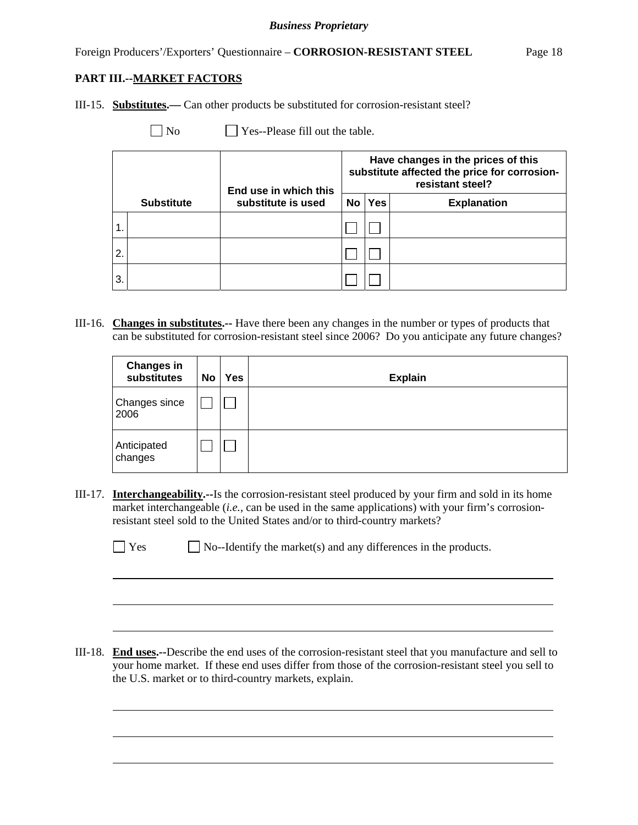III-15. **Substitutes.—** Can other products be substituted for corrosion-resistant steel?

No Yes--Please fill out the table.

|                |                   | End use in which this |           |            | Have changes in the prices of this<br>substitute affected the price for corrosion-<br>resistant steel? |
|----------------|-------------------|-----------------------|-----------|------------|--------------------------------------------------------------------------------------------------------|
|                | <b>Substitute</b> | substitute is used    | <b>No</b> | <b>Yes</b> | <b>Explanation</b>                                                                                     |
| $\overline{1}$ |                   |                       |           |            |                                                                                                        |
| 2.             |                   |                       |           |            |                                                                                                        |
| IЗ.            |                   |                       |           |            |                                                                                                        |

III-16. **Changes in substitutes.--** Have there been any changes in the number or types of products that can be substituted for corrosion-resistant steel since 2006? Do you anticipate any future changes?

| <b>Changes in</b><br>substitutes | <b>No</b> | <b>Yes</b> | <b>Explain</b> |
|----------------------------------|-----------|------------|----------------|
| Changes since<br>2006            |           |            |                |
| Anticipated<br>changes           |           |            |                |

III-17. **Interchangeability.--**Is the corrosion-resistant steel produced by your firm and sold in its home market interchangeable (*i.e.*, can be used in the same applications) with your firm's corrosionresistant steel sold to the United States and/or to third-country markets?

|--|--|

 $\overline{a}$ 

l

 $\Box$  No--Identify the market(s) and any differences in the products.

III-18. **End uses.--**Describe the end uses of the corrosion-resistant steel that you manufacture and sell to your home market. If these end uses differ from those of the corrosion-resistant steel you sell to the U.S. market or to third-country markets, explain.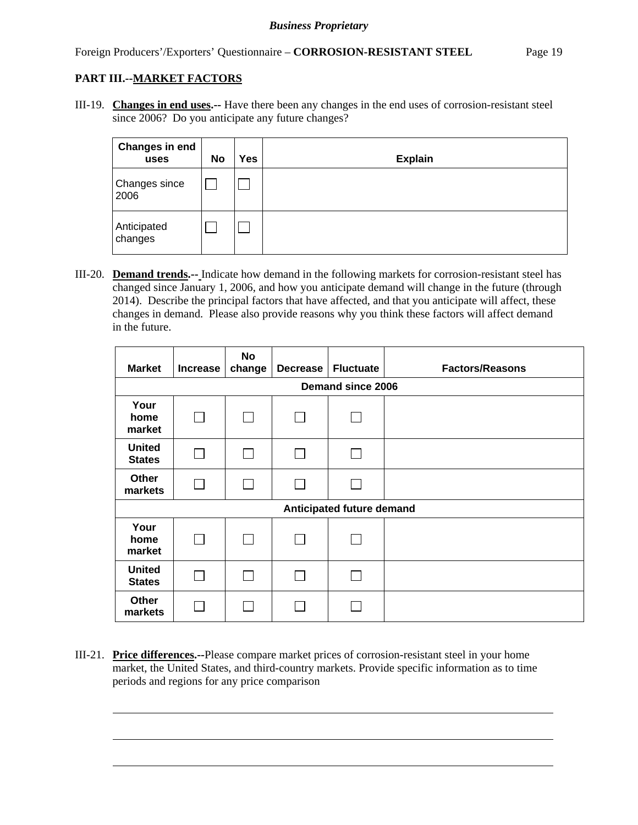l

III-19. **Changes in end uses.--** Have there been any changes in the end uses of corrosion-resistant steel since 2006? Do you anticipate any future changes?

| Changes in end<br>uses | <b>No</b> | Yes | <b>Explain</b> |
|------------------------|-----------|-----|----------------|
| Changes since<br>2006  |           |     |                |
| Anticipated<br>changes |           |     |                |

III-20. **Demand trends.--** Indicate how demand in the following markets for corrosion-resistant steel has changed since January 1, 2006, and how you anticipate demand will change in the future (through 2014). Describe the principal factors that have affected, and that you anticipate will affect, these changes in demand. Please also provide reasons why you think these factors will affect demand in the future.

| <b>Market</b>                  | <b>Increase</b> | No<br>change | <b>Decrease</b> | <b>Fluctuate</b>          | <b>Factors/Reasons</b> |
|--------------------------------|-----------------|--------------|-----------------|---------------------------|------------------------|
|                                |                 |              |                 | <b>Demand since 2006</b>  |                        |
| Your<br>home<br>market         | П               |              |                 |                           |                        |
| <b>United</b><br><b>States</b> |                 |              | $\mathbb{R}$    | H                         |                        |
| Other<br>markets               | $\mathsf{L}$    | $\mathsf{I}$ | $\mathbb{R}^n$  | $\sim$                    |                        |
|                                |                 |              |                 | Anticipated future demand |                        |
| Your<br>home<br>market         | $\perp$         |              |                 |                           |                        |
| <b>United</b><br><b>States</b> |                 |              |                 |                           |                        |
| Other<br>markets               |                 |              |                 |                           |                        |

III-21. **Price differences.--**Please compare market prices of corrosion-resistant steel in your home market, the United States, and third-country markets. Provide specific information as to time periods and regions for any price comparison